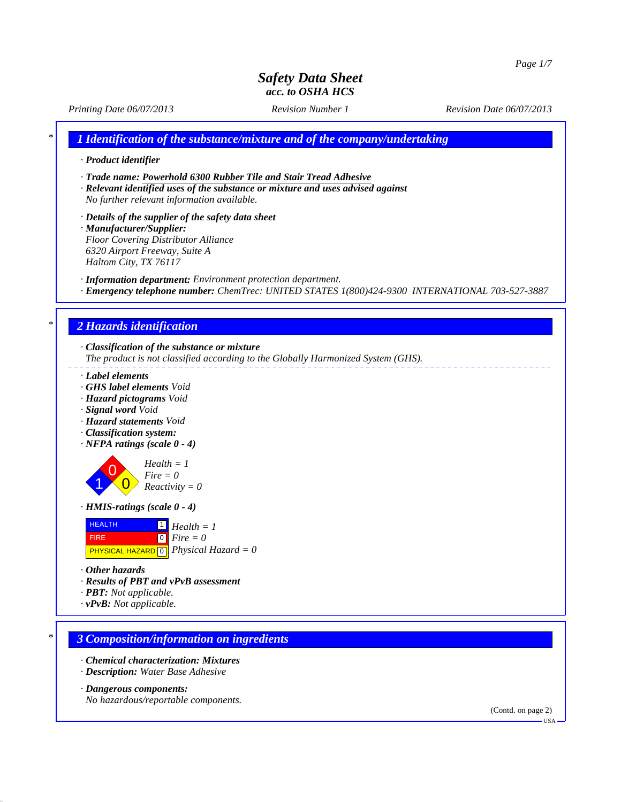*Printing Date 06/07/2013 Revision Number 1 Revision Date 06/07/2013*

*\* 1 Identification of the substance/mixture and of the company/undertaking*

- *· Product identifier*
- *· Trade name: Powerhold 6300 Rubber Tile and Stair Tread Adhesive*
- *· Relevant identified uses of the substance or mixture and uses advised against No further relevant information available.*
- *· Details of the supplier of the safety data sheet · Manufacturer/Supplier: Floor Covering Distributor Alliance*
- *6320 Airport Freeway, Suite A Haltom City, TX 76117*
- *· Information department: Environment protection department.*
- *· Emergency telephone number: ChemTrec: UNITED STATES 1(800)424-9300 INTERNATIONAL 703-527-3887*

## *\* 2 Hazards identification*

- *· Classification of the substance or mixture*
- *The product is not classified according to the Globally Harmonized System (GHS).*
- *· Label elements*
- *· GHS label elements Void*
- *· Hazard pictograms Void*
- *· Signal word Void*
- *· Hazard statements Void*
- *· Classification system:*
- *· NFPA ratings (scale 0 4)*



- *· HMIS-ratings (scale 0 4)*
- **HEALTH**  FIRE 1 *Health = 1*

 PHYSICAL HAZARD 0 *Physical Hazard = 0* 0 *Fire = 0*

- *· Other hazards*
- *· Results of PBT and vPvB assessment*
- *· PBT: Not applicable.*
- *· vPvB: Not applicable.*

#### *\* 3 Composition/information on ingredients*

- *· Chemical characterization: Mixtures*
- *· Description: Water Base Adhesive*

#### *· Dangerous components:*

*No hazardous/reportable components.*

(Contd. on page 2)

 $-<sup>T</sup>S<sub>A</sub>$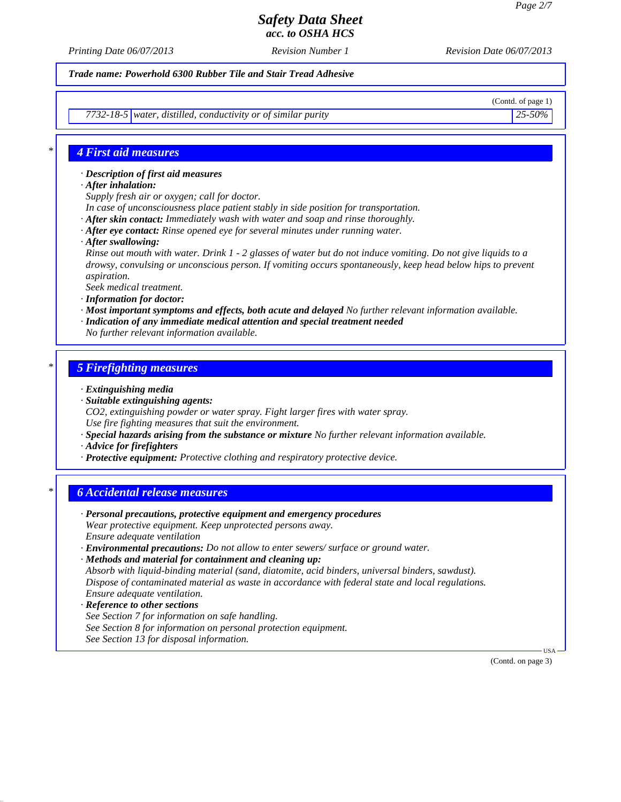*Printing Date 06/07/2013 Revision Number 1 Revision Date 06/07/2013*

*Trade name: Powerhold 6300 Rubber Tile and Stair Tread Adhesive*

(Contd. of page 1)

*7732-18-5 water, distilled, conductivity or of similar purity 25-50%*

### *\* 4 First aid measures*

*· Description of first aid measures*

- *· After inhalation:*
- *Supply fresh air or oxygen; call for doctor.*
- *In case of unconsciousness place patient stably in side position for transportation.*
- *· After skin contact: Immediately wash with water and soap and rinse thoroughly.*
- *· After eye contact: Rinse opened eye for several minutes under running water.*
- *· After swallowing:*

*Rinse out mouth with water. Drink 1 - 2 glasses of water but do not induce vomiting. Do not give liquids to a drowsy, convulsing or unconscious person. If vomiting occurs spontaneously, keep head below hips to prevent aspiration.*

*Seek medical treatment.*

- *· Information for doctor:*
- *· Most important symptoms and effects, both acute and delayed No further relevant information available.*
- *· Indication of any immediate medical attention and special treatment needed*
- *No further relevant information available.*

### *\* 5 Firefighting measures*

- *· Extinguishing media*
- *· Suitable extinguishing agents:*
- *CO2, extinguishing powder or water spray. Fight larger fires with water spray. Use fire fighting measures that suit the environment.*
- *· Special hazards arising from the substance or mixture No further relevant information available.*
- *· Advice for firefighters*
- *· Protective equipment: Protective clothing and respiratory protective device.*

## *\* 6 Accidental release measures*

- *· Personal precautions, protective equipment and emergency procedures Wear protective equipment. Keep unprotected persons away. Ensure adequate ventilation · Environmental precautions: Do not allow to enter sewers/ surface or ground water.*
- *· Methods and material for containment and cleaning up: Absorb with liquid-binding material (sand, diatomite, acid binders, universal binders, sawdust). Dispose of contaminated material as waste in accordance with federal state and local regulations. Ensure adequate ventilation.*
- *· Reference to other sections See Section 7 for information on safe handling. See Section 8 for information on personal protection equipment. See Section 13 for disposal information.*

(Contd. on page 3)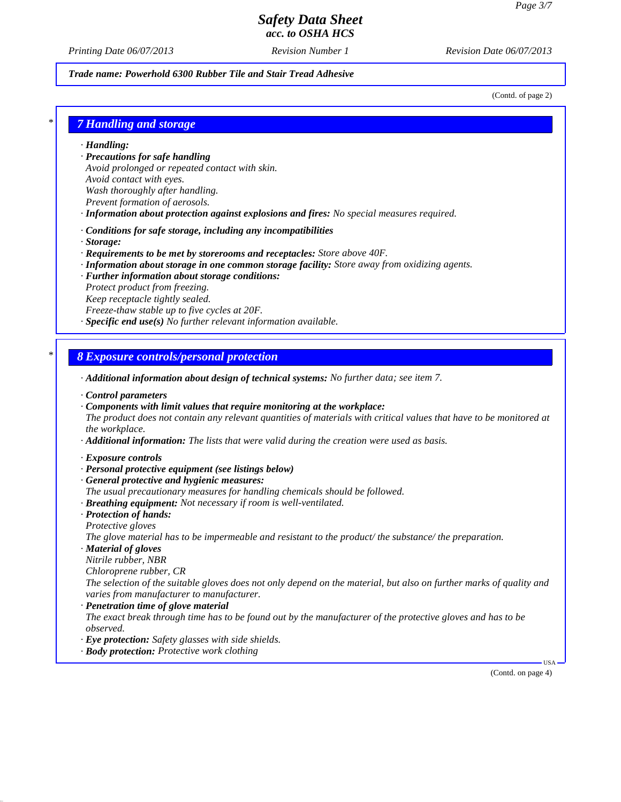*Printing Date 06/07/2013 Revision Number 1 Revision Date 06/07/2013*

#### *Trade name: Powerhold 6300 Rubber Tile and Stair Tread Adhesive*

(Contd. of page 2)

### *\* 7 Handling and storage*

*· Handling:*

- *· Precautions for safe handling*
- *Avoid prolonged or repeated contact with skin.*
- *Avoid contact with eyes.*
- *Wash thoroughly after handling.*
- *Prevent formation of aerosols.*
- *· Information about protection against explosions and fires: No special measures required.*
- *· Conditions for safe storage, including any incompatibilities*
- *· Storage:*
- *· Requirements to be met by storerooms and receptacles: Store above 40F.*
- *· Information about storage in one common storage facility: Store away from oxidizing agents.*
- *· Further information about storage conditions:*
- *Protect product from freezing.*
- *Keep receptacle tightly sealed.*
- *Freeze-thaw stable up to five cycles at 20F.*
- *· Specific end use(s) No further relevant information available.*

### *\* 8 Exposure controls/personal protection*

- *· Additional information about design of technical systems: No further data; see item 7.*
- *· Control parameters*
- *· Components with limit values that require monitoring at the workplace:*
- *The product does not contain any relevant quantities of materials with critical values that have to be monitored at the workplace.*
- *· Additional information: The lists that were valid during the creation were used as basis.*
- *· Exposure controls*
- *· Personal protective equipment (see listings below)*
- *· General protective and hygienic measures:*
- *The usual precautionary measures for handling chemicals should be followed.*
- *· Breathing equipment: Not necessary if room is well-ventilated.*
- *· Protection of hands: Protective gloves*
- *The glove material has to be impermeable and resistant to the product/ the substance/ the preparation.*
- *· Material of gloves*
- *Nitrile rubber, NBR*
- *Chloroprene rubber, CR*
- *The selection of the suitable gloves does not only depend on the material, but also on further marks of quality and varies from manufacturer to manufacturer.*
- *· Penetration time of glove material*
- *The exact break through time has to be found out by the manufacturer of the protective gloves and has to be observed.*
- *· Eye protection: Safety glasses with side shields.*
- *· Body protection: Protective work clothing*

(Contd. on page 4)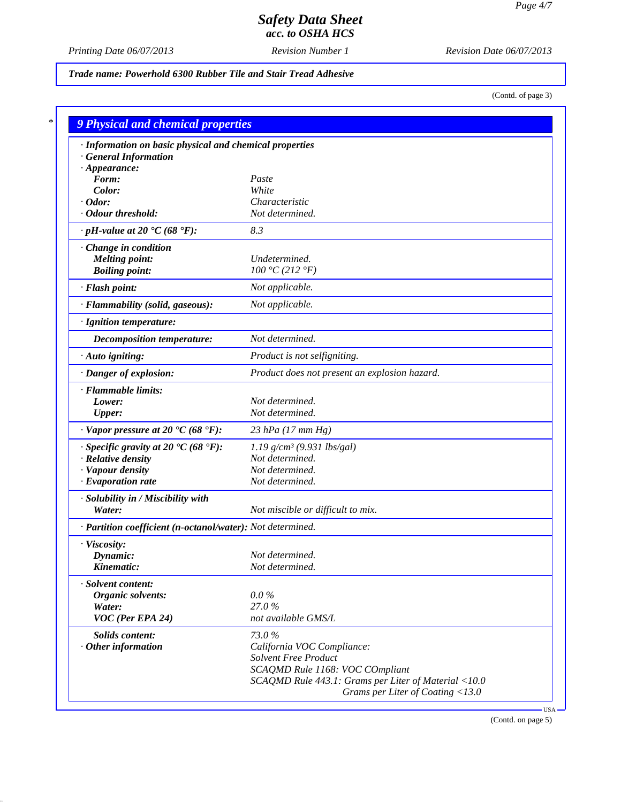*Printing Date 06/07/2013 Revision Number 1 Revision Date 06/07/2013*

*Trade name: Powerhold 6300 Rubber Tile and Stair Tread Adhesive*

(Contd. of page 3)

| · Information on basic physical and chemical properties      |                                                      |
|--------------------------------------------------------------|------------------------------------------------------|
| <b>General Information</b>                                   |                                                      |
| $\cdot$ Appearance:                                          |                                                      |
| Form:                                                        | Paste                                                |
| Color:                                                       | White<br>Characteristic                              |
| $\cdot$ Odor:<br>· Odour threshold:                          | Not determined.                                      |
| $\cdot$ pH-value at 20 $\textdegree$ C (68 $\textdegree$ F): | 8.3                                                  |
| Change in condition                                          |                                                      |
| <b>Melting point:</b>                                        | Undetermined.                                        |
| <b>Boiling point:</b>                                        | 100 °C (212 °F)                                      |
| · Flash point:                                               | Not applicable.                                      |
| · Flammability (solid, gaseous):                             | Not applicable.                                      |
| · Ignition temperature:                                      |                                                      |
| Decomposition temperature:                                   | Not determined.                                      |
| · Auto igniting:                                             | Product is not selfigniting.                         |
| · Danger of explosion:                                       | Product does not present an explosion hazard.        |
| · Flammable limits:                                          |                                                      |
| Lower:                                                       | Not determined.                                      |
| <b>Upper:</b>                                                | Not determined.                                      |
| $\cdot$ Vapor pressure at 20 $\cdot$ C (68 $\cdot$ F):       | 23 hPa $(17 \, \text{mm Hg})$                        |
| $\cdot$ Specific gravity at 20 °C (68 °F):                   | $1.19$ g/cm <sup>3</sup> (9.931 lbs/gal)             |
| · Relative density                                           | Not determined.                                      |
| · Vapour density                                             | Not determined.                                      |
| $\cdot$ Evaporation rate                                     | Not determined.                                      |
| · Solubility in / Miscibility with<br>Water:                 | Not miscible or difficult to mix.                    |
| · Partition coefficient (n-octanol/water): Not determined.   |                                                      |
|                                                              |                                                      |
| · Viscosity:                                                 | Not determined.                                      |
| Dynamic:<br>Kinematic:                                       | Not determined.                                      |
|                                                              |                                                      |
| · Solvent content:<br>Organic solvents:                      | $0.0\%$                                              |
| Water:                                                       | 27.0%                                                |
| VOC (Per EPA 24)                                             | not available GMS/L                                  |
| <b>Solids content:</b>                                       | 73.0%                                                |
| $·$ Other information                                        | California VOC Compliance:                           |
|                                                              | Solvent Free Product                                 |
|                                                              | SCAQMD Rule 1168: VOC COmpliant                      |
|                                                              | SCAQMD Rule 443.1: Grams per Liter of Material <10.0 |

(Contd. on page 5)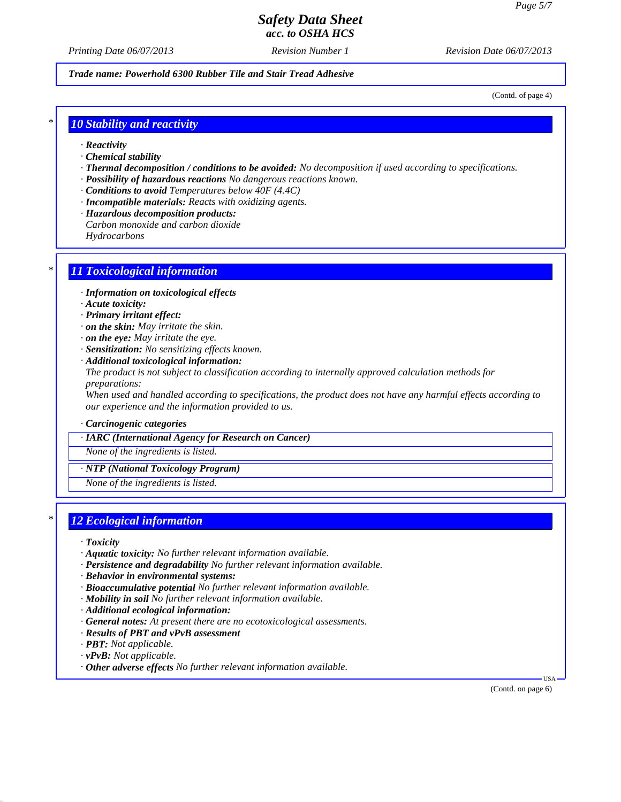*Printing Date 06/07/2013 Revision Number 1 Revision Date 06/07/2013*

*Trade name: Powerhold 6300 Rubber Tile and Stair Tread Adhesive*

(Contd. of page 4)

### *\* 10 Stability and reactivity*

- *· Reactivity*
- *· Chemical stability*
- *· Thermal decomposition / conditions to be avoided: No decomposition if used according to specifications.*
- *· Possibility of hazardous reactions No dangerous reactions known.*
- *· Conditions to avoid Temperatures below 40F (4.4C)*
- *· Incompatible materials: Reacts with oxidizing agents.*
- *· Hazardous decomposition products:*
- *Carbon monoxide and carbon dioxide*

*Hydrocarbons*

### *\* 11 Toxicological information*

- *· Information on toxicological effects*
- *· Acute toxicity:*
- *· Primary irritant effect:*
- *· on the skin: May irritate the skin.*
- *· on the eye: May irritate the eye.*
- *· Sensitization: No sensitizing effects known.*
- *· Additional toxicological information:*

*The product is not subject to classification according to internally approved calculation methods for preparations:*

*When used and handled according to specifications, the product does not have any harmful effects according to our experience and the information provided to us.*

*· Carcinogenic categories*

#### *· IARC (International Agency for Research on Cancer)*

*None of the ingredients is listed.*

*· NTP (National Toxicology Program)*

*None of the ingredients is listed.*

## *\* 12 Ecological information*

- *· Toxicity*
- *· Aquatic toxicity: No further relevant information available.*
- *· Persistence and degradability No further relevant information available.*
- *· Behavior in environmental systems:*
- *· Bioaccumulative potential No further relevant information available.*
- *· Mobility in soil No further relevant information available.*
- *· Additional ecological information:*
- *· General notes: At present there are no ecotoxicological assessments.*
- *· Results of PBT and vPvB assessment*
- *· PBT: Not applicable.*
- *· vPvB: Not applicable.*
- *· Other adverse effects No further relevant information available.*

(Contd. on page 6)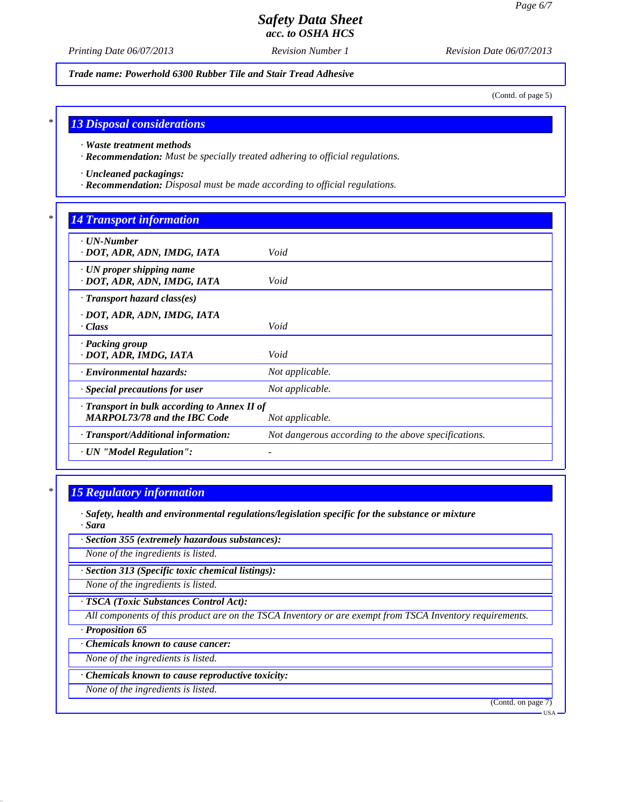*Printing Date 06/07/2013 Revision Number 1 Revision Date 06/07/2013*

*Trade name: Powerhold 6300 Rubber Tile and Stair Tread Adhesive*

(Contd. of page 5)

#### *\* 13 Disposal considerations*

*· Waste treatment methods*

*· Recommendation: Must be specially treated adhering to official regulations.*

*· Uncleaned packagings:*

*· Recommendation: Disposal must be made according to official regulations.*

## *\* 14 Transport information*

| $\cdot$ UN-Number<br>· DOT, ADR, ADN, IMDG, IATA                                          | Void                                                 |
|-------------------------------------------------------------------------------------------|------------------------------------------------------|
| $\cdot$ UN proper shipping name<br>· DOT, ADR, ADN, IMDG, IATA                            | Void                                                 |
| $\cdot$ Transport hazard class(es)                                                        |                                                      |
| · DOT, ADR, ADN, IMDG, IATA<br>· Class                                                    | Void                                                 |
| · Packing group<br>· DOT, ADR, IMDG, IATA                                                 | Void                                                 |
| · Environmental hazards:                                                                  | Not applicable.                                      |
| Special precautions for user                                                              | Not applicable.                                      |
| $\cdot$ Transport in bulk according to Annex II of<br><b>MARPOL73/78 and the IBC Code</b> | Not applicable.                                      |
| · Transport/Additional information:                                                       | Not dangerous according to the above specifications. |
| · UN "Model Regulation":                                                                  |                                                      |

## *\* 15 Regulatory information*

- *· Safety, health and environmental regulations/legislation specific for the substance or mixture · Sara*
- *· Section 355 (extremely hazardous substances):*

*None of the ingredients is listed.*

*· Section 313 (Specific toxic chemical listings):*

*None of the ingredients is listed.*

*· TSCA (Toxic Substances Control Act):*

*All components of this product are on the TSCA Inventory or are exempt from TSCA Inventory requirements.*

*· Proposition 65*

*· Chemicals known to cause cancer:*

*None of the ingredients is listed.*

*· Chemicals known to cause reproductive toxicity:*

*None of the ingredients is listed.*

(Contd. on page 7)

USA